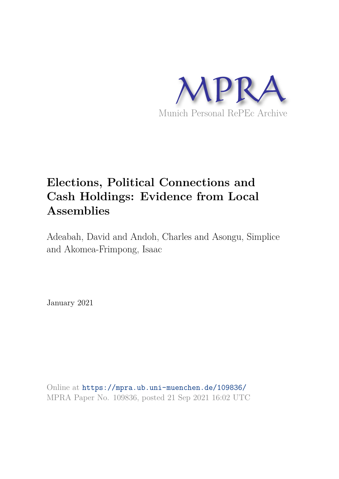

# **Elections, Political Connections and Cash Holdings: Evidence from Local Assemblies**

Adeabah, David and Andoh, Charles and Asongu, Simplice and Akomea-Frimpong, Isaac

January 2021

Online at https://mpra.ub.uni-muenchen.de/109836/ MPRA Paper No. 109836, posted 21 Sep 2021 16:02 UTC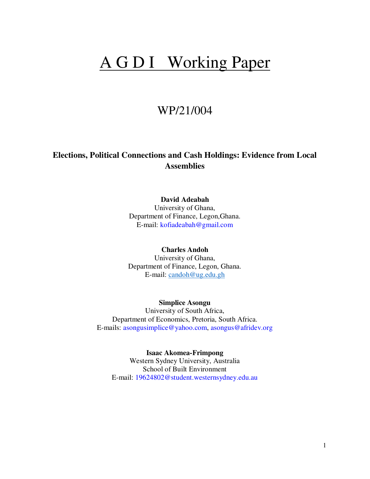# A G D I Working Paper

# WP/21/004

# **Elections, Political Connections and Cash Holdings: Evidence from Local Assemblies**

# **David Adeabah**

University of Ghana, Department of Finance, Legon,Ghana. E-mail: kofiadeabah@gmail.com

# **Charles Andoh**

University of Ghana, Department of Finance, Legon, Ghana. E-mail: [candoh@ug.edu.gh](mailto:candoh@ug.edu.gh)

# **Simplice Asongu**

University of South Africa, Department of Economics, Pretoria, South Africa. E-mails: asongusimplice@yahoo.com, asongus@afridev.org

**Isaac Akomea-Frimpong**  Western Sydney University, Australia School of Built Environment E-mail: 19624802@student.westernsydney.edu.au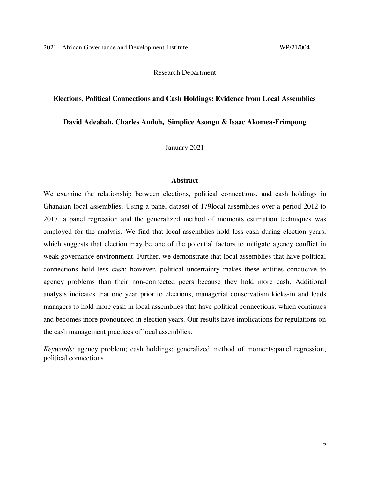Research Department

#### **Elections, Political Connections and Cash Holdings: Evidence from Local Assemblies**

**David Adeabah, Charles Andoh, Simplice Asongu & Isaac Akomea-Frimpong** 

January 2021

### **Abstract**

We examine the relationship between elections, political connections, and cash holdings in Ghanaian local assemblies. Using a panel dataset of 179local assemblies over a period 2012 to 2017, a panel regression and the generalized method of moments estimation techniques was employed for the analysis. We find that local assemblies hold less cash during election years, which suggests that election may be one of the potential factors to mitigate agency conflict in weak governance environment. Further, we demonstrate that local assemblies that have political connections hold less cash; however, political uncertainty makes these entities conducive to agency problems than their non-connected peers because they hold more cash. Additional analysis indicates that one year prior to elections, managerial conservatism kicks-in and leads managers to hold more cash in local assemblies that have political connections, which continues and becomes more pronounced in election years. Our results have implications for regulations on the cash management practices of local assemblies.

*Keywords*: agency problem; cash holdings; generalized method of moments;panel regression; political connections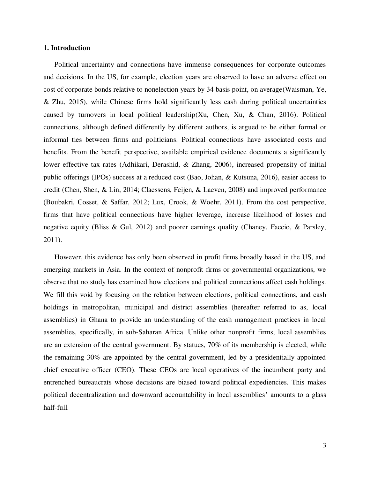# **1. Introduction**

Political uncertainty and connections have immense consequences for corporate outcomes and decisions. In the US, for example, election years are observed to have an adverse effect on cost of corporate bonds relative to nonelection years by 34 basis point, on average(Waisman, Ye, & Zhu, 2015), while Chinese firms hold significantly less cash during political uncertainties caused by turnovers in local political leadership(Xu, Chen, Xu, & Chan, 2016). Political connections, although defined differently by different authors, is argued to be either formal or informal ties between firms and politicians. Political connections have associated costs and benefits. From the benefit perspective, available empirical evidence documents a significantly lower effective tax rates (Adhikari, Derashid, & Zhang, 2006), increased propensity of initial public offerings (IPOs) success at a reduced cost (Bao, Johan, & Kutsuna, 2016), easier access to credit (Chen, Shen, & Lin, 2014; Claessens, Feijen, & Laeven, 2008) and improved performance (Boubakri, Cosset, & Saffar, 2012; Lux, Crook, & Woehr, 2011). From the cost perspective, firms that have political connections have higher leverage, increase likelihood of losses and negative equity (Bliss & Gul, 2012) and poorer earnings quality (Chaney, Faccio, & Parsley, 2011).

However, this evidence has only been observed in profit firms broadly based in the US, and emerging markets in Asia. In the context of nonprofit firms or governmental organizations, we observe that no study has examined how elections and political connections affect cash holdings. We fill this void by focusing on the relation between elections, political connections, and cash holdings in metropolitan, municipal and district assemblies (hereafter referred to as, local assemblies) in Ghana to provide an understanding of the cash management practices in local assemblies, specifically, in sub-Saharan Africa. Unlike other nonprofit firms, local assemblies are an extension of the central government. By statues, 70% of its membership is elected, while the remaining 30% are appointed by the central government, led by a presidentially appointed chief executive officer (CEO). These CEOs are local operatives of the incumbent party and entrenched bureaucrats whose decisions are biased toward political expediencies. This makes political decentralization and downward accountability in local assemblies' amounts to a glass half-full.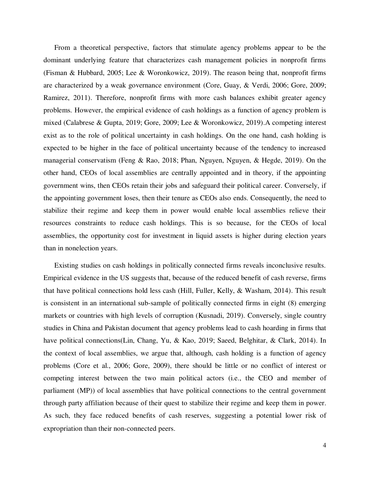From a theoretical perspective, factors that stimulate agency problems appear to be the dominant underlying feature that characterizes cash management policies in nonprofit firms (Fisman & Hubbard, 2005; Lee & Woronkowicz, 2019). The reason being that, nonprofit firms are characterized by a weak governance environment (Core, Guay, & Verdi, 2006; Gore, 2009; Ramirez, 2011). Therefore, nonprofit firms with more cash balances exhibit greater agency problems. However, the empirical evidence of cash holdings as a function of agency problem is mixed (Calabrese & Gupta, 2019; Gore, 2009; Lee & Woronkowicz, 2019).A competing interest exist as to the role of political uncertainty in cash holdings. On the one hand, cash holding is expected to be higher in the face of political uncertainty because of the tendency to increased managerial conservatism (Feng & Rao, 2018; Phan, Nguyen, Nguyen, & Hegde, 2019). On the other hand, CEOs of local assemblies are centrally appointed and in theory, if the appointing government wins, then CEOs retain their jobs and safeguard their political career. Conversely, if the appointing government loses, then their tenure as CEOs also ends. Consequently, the need to stabilize their regime and keep them in power would enable local assemblies relieve their resources constraints to reduce cash holdings. This is so because, for the CEOs of local assemblies, the opportunity cost for investment in liquid assets is higher during election years than in nonelection years.

Existing studies on cash holdings in politically connected firms reveals inconclusive results. Empirical evidence in the US suggests that, because of the reduced benefit of cash reverse, firms that have political connections hold less cash (Hill, Fuller, Kelly, & Washam, 2014). This result is consistent in an international sub-sample of politically connected firms in eight (8) emerging markets or countries with high levels of corruption (Kusnadi, 2019). Conversely, single country studies in China and Pakistan document that agency problems lead to cash hoarding in firms that have political connections(Lin, Chang, Yu, & Kao, 2019; Saeed, Belghitar, & Clark, 2014). In the context of local assemblies, we argue that, although, cash holding is a function of agency problems (Core et al., 2006; Gore, 2009), there should be little or no conflict of interest or competing interest between the two main political actors (i.e., the CEO and member of parliament (MP)) of local assemblies that have political connections to the central government through party affiliation because of their quest to stabilize their regime and keep them in power. As such, they face reduced benefits of cash reserves, suggesting a potential lower risk of expropriation than their non-connected peers.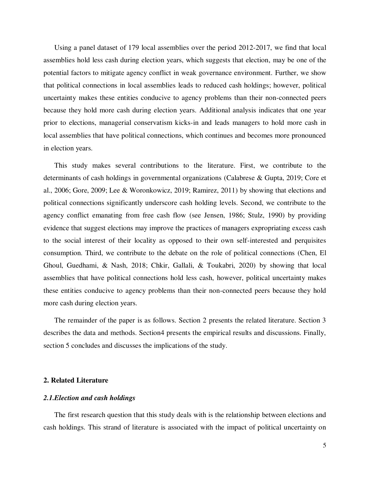Using a panel dataset of 179 local assemblies over the period 2012-2017, we find that local assemblies hold less cash during election years, which suggests that election, may be one of the potential factors to mitigate agency conflict in weak governance environment. Further, we show that political connections in local assemblies leads to reduced cash holdings; however, political uncertainty makes these entities conducive to agency problems than their non-connected peers because they hold more cash during election years. Additional analysis indicates that one year prior to elections, managerial conservatism kicks-in and leads managers to hold more cash in local assemblies that have political connections, which continues and becomes more pronounced in election years.

This study makes several contributions to the literature. First, we contribute to the determinants of cash holdings in governmental organizations (Calabrese & Gupta, 2019; Core et al., 2006; Gore, 2009; Lee & Woronkowicz, 2019; Ramirez, 2011) by showing that elections and political connections significantly underscore cash holding levels. Second, we contribute to the agency conflict emanating from free cash flow (see Jensen, 1986; Stulz, 1990) by providing evidence that suggest elections may improve the practices of managers expropriating excess cash to the social interest of their locality as opposed to their own self-interested and perquisites consumption. Third, we contribute to the debate on the role of political connections (Chen, El Ghoul, Guedhami, & Nash, 2018; Chkir, Gallali, & Toukabri, 2020) by showing that local assemblies that have political connections hold less cash, however, political uncertainty makes these entities conducive to agency problems than their non-connected peers because they hold more cash during election years.

The remainder of the paper is as follows. Section 2 presents the related literature. Section 3 describes the data and methods. Section4 presents the empirical results and discussions. Finally, section 5 concludes and discusses the implications of the study.

# **2. Related Literature**

#### *2.1.Election and cash holdings*

The first research question that this study deals with is the relationship between elections and cash holdings. This strand of literature is associated with the impact of political uncertainty on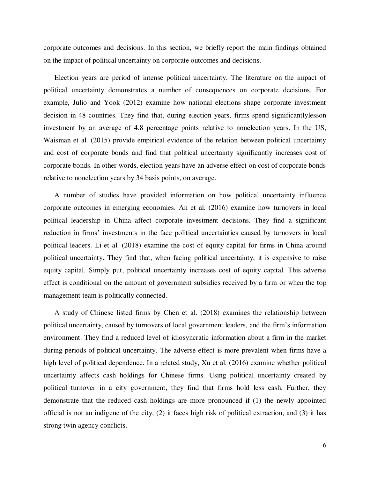corporate outcomes and decisions. In this section, we briefly report the main findings obtained on the impact of political uncertainty on corporate outcomes and decisions.

Election years are period of intense political uncertainty. The literature on the impact of political uncertainty demonstrates a number of consequences on corporate decisions. For example, Julio and Yook (2012) examine how national elections shape corporate investment decision in 48 countries. They find that, during election years, firms spend significantlylesson investment by an average of 4.8 percentage points relative to nonelection years. In the US, Waisman et al. (2015) provide empirical evidence of the relation between political uncertainty and cost of corporate bonds and find that political uncertainty significantly increases cost of corporate bonds. In other words, election years have an adverse effect on cost of corporate bonds relative to nonelection years by 34 basis points, on average.

A number of studies have provided information on how political uncertainty influence corporate outcomes in emerging economies. An et al. (2016) examine how turnovers in local political leadership in China affect corporate investment decisions. They find a significant reduction in firms' investments in the face political uncertainties caused by turnovers in local political leaders. Li et al. (2018) examine the cost of equity capital for firms in China around political uncertainty. They find that, when facing political uncertainty, it is expensive to raise equity capital. Simply put, political uncertainty increases cost of equity capital. This adverse effect is conditional on the amount of government subsidies received by a firm or when the top management team is politically connected.

A study of Chinese listed firms by Chen et al. (2018) examines the relationship between political uncertainty, caused by turnovers of local government leaders, and the firm's information environment. They find a reduced level of idiosyncratic information about a firm in the market during periods of political uncertainty. The adverse effect is more prevalent when firms have a high level of political dependence. In a related study, Xu et al. (2016) examine whether political uncertainty affects cash holdings for Chinese firms. Using political uncertainty created by political turnover in a city government, they find that firms hold less cash. Further, they demonstrate that the reduced cash holdings are more pronounced if (1) the newly appointed official is not an indigene of the city, (2) it faces high risk of political extraction, and (3) it has strong twin agency conflicts.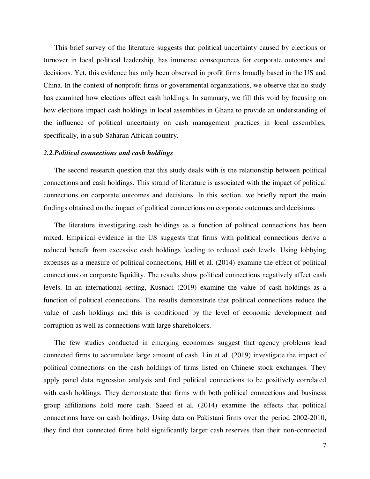This brief survey of the literature suggests that political uncertainty caused by elections or turnover in local political leadership, has immense consequences for corporate outcomes and decisions. Yet, this evidence has only been observed in profit firms broadly based in the US and China. In the context of nonprofit firms or governmental organizations, we observe that no study has examined how elections affect cash holdings. In summary, we fill this void by focusing on how elections impact cash holdings in local assemblies in Ghana to provide an understanding of the influence of political uncertainty on cash management practices in local assemblies, specifically, in a sub-Saharan African country.

# *2.2.Political connections and cash holdings*

The second research question that this study deals with is the relationship between political connections and cash holdings. This strand of literature is associated with the impact of political connections on corporate outcomes and decisions. In this section, we briefly report the main findings obtained on the impact of political connections on corporate outcomes and decisions.

The literature investigating cash holdings as a function of political connections has been mixed. Empirical evidence in the US suggests that firms with political connections derive a reduced benefit from excessive cash holdings leading to reduced cash levels. Using lobbying expenses as a measure of political connections, Hill et al. (2014) examine the effect of political connections on corporate liquidity. The results show political connections negatively affect cash levels. In an international setting, Kusnadi (2019) examine the value of cash holdings as a function of political connections. The results demonstrate that political connections reduce the value of cash holdings and this is conditioned by the level of economic development and corruption as well as connections with large shareholders.

The few studies conducted in emerging economies suggest that agency problems lead connected firms to accumulate large amount of cash. Lin et al. (2019) investigate the impact of political connections on the cash holdings of firms listed on Chinese stock exchanges. They apply panel data regression analysis and find political connections to be positively correlated with cash holdings. They demonstrate that firms with both political connections and business group affiliations hold more cash. Saeed et al. (2014) examine the effects that political connections have on cash holdings. Using data on Pakistani firms over the period 2002-2010, they find that connected firms hold significantly larger cash reserves than their non-connected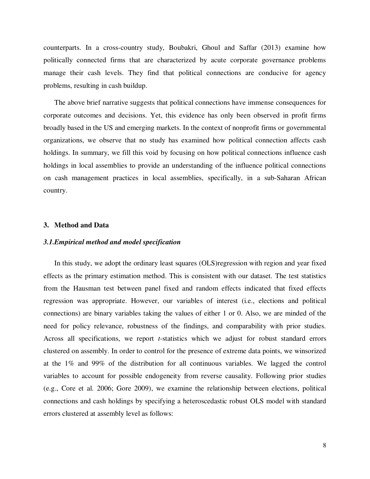counterparts. In a cross-country study, Boubakri, Ghoul and Saffar (2013) examine how politically connected firms that are characterized by acute corporate governance problems manage their cash levels. They find that political connections are conducive for agency problems, resulting in cash buildup.

The above brief narrative suggests that political connections have immense consequences for corporate outcomes and decisions. Yet, this evidence has only been observed in profit firms broadly based in the US and emerging markets. In the context of nonprofit firms or governmental organizations, we observe that no study has examined how political connection affects cash holdings. In summary, we fill this void by focusing on how political connections influence cash holdings in local assemblies to provide an understanding of the influence political connections on cash management practices in local assemblies, specifically, in a sub-Saharan African country.

#### **3. Method and Data**

## *3.1.Empirical method and model specification*

In this study, we adopt the ordinary least squares (OLS)regression with region and year fixed effects as the primary estimation method. This is consistent with our dataset. The test statistics from the Hausman test between panel fixed and random effects indicated that fixed effects regression was appropriate. However, our variables of interest (i.e., elections and political connections) are binary variables taking the values of either 1 or 0. Also, we are minded of the need for policy relevance, robustness of the findings, and comparability with prior studies. Across all specifications, we report *t*-statistics which we adjust for robust standard errors clustered on assembly. In order to control for the presence of extreme data points, we winsorized at the 1% and 99% of the distribution for all continuous variables. We lagged the control variables to account for possible endogeneity from reverse causality. Following prior studies (e.g., Core et al. 2006; Gore 2009), we examine the relationship between elections, political connections and cash holdings by specifying a heteroscedastic robust OLS model with standard errors clustered at assembly level as follows: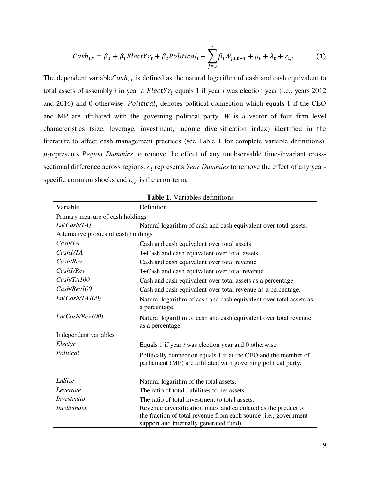$$
Cash_{i,t} = \beta_0 + \beta_1 ElectYr_t + \beta_2 Political_i + \sum_{j=3}^{7} \beta_j W_{j,i,t-1} + \mu_i + \lambda_t + \varepsilon_{i,t}
$$
 (1)

The dependent variable  $Cash_{i,t}$  is defined as the natural logarithm of cash and cash equivalent to total assets of assembly *i* in year *t*.  $ElectYr_t$  equals 1 if year *t* was election year (i.e., years 2012 and 2016) and 0 otherwise. *Political<sub>i</sub>* denotes political connection which equals 1 if the CEO and MP are affiliated with the governing political party. *W* is a vector of four firm level characteristics (size, leverage, investment, income diversification index) identified in the literature to affect cash management practices (see Table 1 for complete variable definitions).  $\mu_i$  represents *Region Dummies* to remove the effect of any unobservable time-invariant crosssectional difference across regions,  $\lambda_t$  represents *Year Dummies* to remove the effect of any yearspecific common shocks and  $\varepsilon_{i,t}$  is the error term.

| <b>Table 1.</b> Variables definitions |                                                                                                                                                                               |  |  |  |  |
|---------------------------------------|-------------------------------------------------------------------------------------------------------------------------------------------------------------------------------|--|--|--|--|
| Variable                              | Definition                                                                                                                                                                    |  |  |  |  |
| Primary measure of cash holdings      |                                                                                                                                                                               |  |  |  |  |
| Ln(Cash/TA)                           | Natural logarithm of cash and cash equivalent over total assets.                                                                                                              |  |  |  |  |
| Alternative proxies of cash holdings  |                                                                                                                                                                               |  |  |  |  |
| Cash/TA                               | Cash and cash equivalent over total assets.                                                                                                                                   |  |  |  |  |
| Cash I/TA                             | 1+Cash and cash equivalent over total assets.                                                                                                                                 |  |  |  |  |
| Cash/Rev                              | Cash and cash equivalent over total revenue                                                                                                                                   |  |  |  |  |
| Cash1/Rev                             | 1+Cash and cash equivalent over total revenue.                                                                                                                                |  |  |  |  |
| Cash/TA100                            | Cash and cash equivalent over total assets as a percentage.                                                                                                                   |  |  |  |  |
| Cash/Rev100                           | Cash and cash equivalent over total revenue as a percentage.                                                                                                                  |  |  |  |  |
| Ln(Cash/TA100)                        | Natural logarithm of cash and cash equivalent over total assets as<br>a percentage.                                                                                           |  |  |  |  |
| Ln(Cash/Rev100)                       | Natural logarithm of cash and cash equivalent over total revenue<br>as a percentage.                                                                                          |  |  |  |  |
| Independent variables                 |                                                                                                                                                                               |  |  |  |  |
| Electyr                               | Equals 1 if year t was election year and 0 otherwise.                                                                                                                         |  |  |  |  |
| Political                             | Politically connection equals 1 if at the CEO and the member of<br>parliament (MP) are affiliated with governing political party.                                             |  |  |  |  |
| <i>LnSize</i>                         | Natural logarithm of the total assets.                                                                                                                                        |  |  |  |  |
| Leverage                              | The ratio of total liabilities to net assets.                                                                                                                                 |  |  |  |  |
| <i>Investratio</i>                    | The ratio of total investment to total assets.                                                                                                                                |  |  |  |  |
| <i>Incdivindex</i>                    | Revenue diversification index and calculated as the product of<br>the fraction of total revenue from each source (i.e., government<br>support and internally generated fund). |  |  |  |  |

**Table 1**. Variables definitions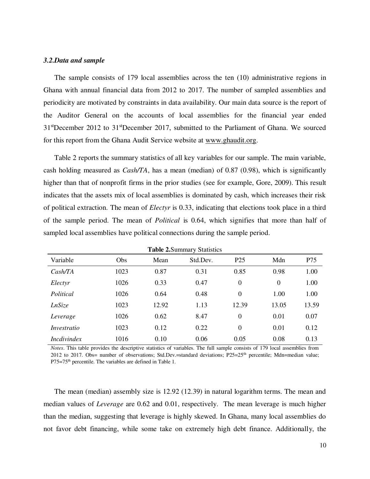# *3.2.Data and sample*

The sample consists of 179 local assemblies across the ten (10) administrative regions in Ghana with annual financial data from 2012 to 2017. The number of sampled assemblies and periodicity are motivated by constraints in data availability. Our main data source is the report of the Auditor General on the accounts of local assemblies for the financial year ended 31stDecember 2012 to 31stDecember 2017, submitted to the Parliament of Ghana. We sourced for this report from the Ghana Audit Service website at [www.ghaudit.org.](http://www.ghaudit.org/)

Table 2 reports the summary statistics of all key variables for our sample. The main variable, cash holding measured as *Cash/TA*, has a mean (median) of 0.87 (0.98), which is significantly higher than that of nonprofit firms in the prior studies (see for example, Gore, 2009). This result indicates that the assets mix of local assemblies is dominated by cash, which increases their risk of political extraction. The mean of *Electyr* is 0.33, indicating that elections took place in a third of the sample period. The mean of *Political* is 0.64, which signifies that more than half of sampled local assemblies have political connections during the sample period.

| <b>Table 2. Summary Statistics</b> |      |       |          |                 |                |       |
|------------------------------------|------|-------|----------|-----------------|----------------|-------|
| Variable                           | Obs  | Mean  | Std.Dev. | P <sub>25</sub> | Mdn            | P75   |
| CashTA                             | 1023 | 0.87  | 0.31     | 0.85            | 0.98           | 1.00  |
| Electyr                            | 1026 | 0.33  | 0.47     | $\overline{0}$  | $\overline{0}$ | 1.00  |
| Political                          | 1026 | 0.64  | 0.48     | $\overline{0}$  | 1.00           | 1.00  |
| LnSize                             | 1023 | 12.92 | 1.13     | 12.39           | 13.05          | 13.59 |
| Leverage                           | 1026 | 0.62  | 8.47     | $\overline{0}$  | 0.01           | 0.07  |
| Investratio                        | 1023 | 0.12  | 0.22     | $\overline{0}$  | 0.01           | 0.12  |
| <i>Incdivindex</i>                 | 1016 | 0.10  | 0.06     | 0.05            | 0.08           | 0.13  |

*Notes*. This table provides the descriptive statistics of variables. The full sample consists of 179 local assemblies from 2012 to 2017. Obs= number of observations; Std.Dev.=standard deviations;  $P25=25<sup>th</sup>$  percentile; Mdn=median value; P75=75<sup>th</sup> percentile. The variables are defined in Table 1.

The mean (median) assembly size is 12.92 (12.39) in natural logarithm terms. The mean and median values of *Leverage* are 0.62 and 0.01, respectively. The mean leverage is much higher than the median, suggesting that leverage is highly skewed. In Ghana, many local assemblies do not favor debt financing, while some take on extremely high debt finance. Additionally, the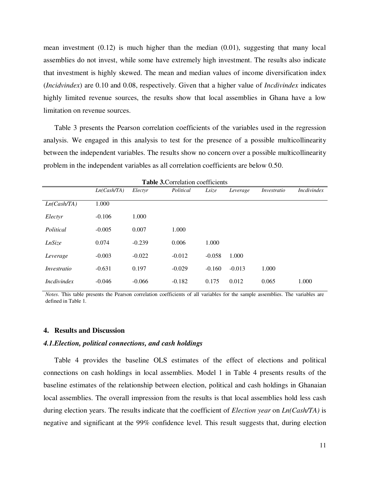mean investment  $(0.12)$  is much higher than the median  $(0.01)$ , suggesting that many local assemblies do not invest, while some have extremely high investment. The results also indicate that investment is highly skewed. The mean and median values of income diversification index (*Incidvindex*) are 0.10 and 0.08, respectively. Given that a higher value of *Incdivindex* indicates highly limited revenue sources, the results show that local assemblies in Ghana have a low limitation on revenue sources.

Table 3 presents the Pearson correlation coefficients of the variables used in the regression analysis. We engaged in this analysis to test for the presence of a possible multicollinearity between the independent variables. The results show no concern over a possible multicollinearity problem in the independent variables as all correlation coefficients are below 0.50.

| <b>Table 3. Correlation coefficients</b> |             |          |           |          |          |             |                    |
|------------------------------------------|-------------|----------|-----------|----------|----------|-------------|--------------------|
|                                          | Ln(Cash/TA) | Electyr  | Political | Lsize    | Leverage | Investratio | <i>Incdivindex</i> |
| Ln(Cash/TA)                              | 1.000       |          |           |          |          |             |                    |
| Electyr                                  | $-0.106$    | 1.000    |           |          |          |             |                    |
| Political                                | $-0.005$    | 0.007    | 1.000     |          |          |             |                    |
| LnSize                                   | 0.074       | $-0.239$ | 0.006     | 1.000    |          |             |                    |
| Leverage                                 | $-0.003$    | $-0.022$ | $-0.012$  | $-0.058$ | 1.000    |             |                    |
| Investratio                              | $-0.631$    | 0.197    | $-0.029$  | $-0.160$ | $-0.013$ | 1.000       |                    |
| <i>Incdivindex</i>                       | $-0.046$    | $-0.066$ | $-0.182$  | 0.175    | 0.012    | 0.065       | 1.000              |

*Notes*. This table presents the Pearson correlation coefficients of all variables for the sample assemblies. The variables are defined in Table 1.

# **4. Results and Discussion**

## *4.1.Election, political connections, and cash holdings*

Table 4 provides the baseline OLS estimates of the effect of elections and political connections on cash holdings in local assemblies. Model 1 in Table 4 presents results of the baseline estimates of the relationship between election, political and cash holdings in Ghanaian local assemblies. The overall impression from the results is that local assemblies hold less cash during election years. The results indicate that the coefficient of *Election year* on *Ln(Cash/TA)* is negative and significant at the 99% confidence level. This result suggests that, during election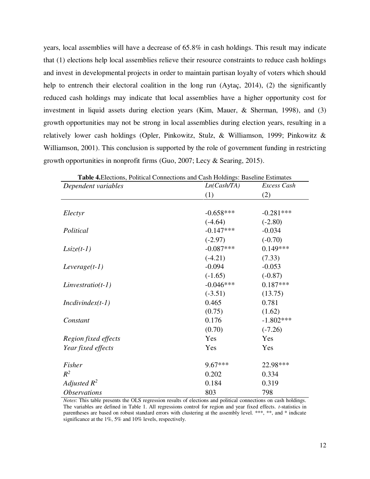years, local assemblies will have a decrease of 65.8% in cash holdings. This result may indicate that (1) elections help local assemblies relieve their resource constraints to reduce cash holdings and invest in developmental projects in order to maintain partisan loyalty of voters which should help to entrench their electoral coalition in the long run (Aytac, 2014), (2) the significantly reduced cash holdings may indicate that local assemblies have a higher opportunity cost for investment in liquid assets during election years (Kim, Mauer, & Sherman, 1998), and (3) growth opportunities may not be strong in local assemblies during election years, resulting in a relatively lower cash holdings (Opler, Pinkowitz, Stulz, & Williamson, 1999; Pinkowitz & Williamson, 2001). This conclusion is supported by the role of government funding in restricting growth opportunities in nonprofit firms (Guo, 2007; Lecy & Searing, 2015).

| Table 4. Elections, Political Connections and Cash Holdings: Baseline Estimates |             |             |  |
|---------------------------------------------------------------------------------|-------------|-------------|--|
| Dependent variables                                                             | Ln(Cash/TA) | Excess Cash |  |
|                                                                                 | (1)         | (2)         |  |
|                                                                                 |             |             |  |
| Electyr                                                                         | $-0.658***$ | $-0.281***$ |  |
|                                                                                 | $(-4.64)$   | $(-2.80)$   |  |
| Political                                                                       | $-0.147***$ | $-0.034$    |  |
|                                                                                 | $(-2.97)$   | $(-0.70)$   |  |
| $Lsize(t-1)$                                                                    | $-0.087***$ | $0.149***$  |  |
|                                                                                 | $(-4.21)$   | (7.33)      |  |
| $Leverage(t-1)$                                                                 | $-0.094$    | $-0.053$    |  |
|                                                                                 | $(-1.65)$   | $(-0.87)$   |  |
| $Linvestratio(t-1)$                                                             | $-0.046***$ | $0.187***$  |  |
|                                                                                 | $(-3.51)$   | (13.75)     |  |
| $Incdivindex(t-1)$                                                              | 0.465       | 0.781       |  |
|                                                                                 | (0.75)      | (1.62)      |  |
| Constant                                                                        | 0.176       | $-1.802***$ |  |
|                                                                                 | (0.70)      | $(-7.26)$   |  |
| Region fixed effects                                                            | Yes         | Yes         |  |
| Year fixed effects                                                              | Yes         | Yes         |  |
| Fisher                                                                          | 9.67***     | 22.98***    |  |
| $R^2$                                                                           | 0.202       | 0.334       |  |
| Adjusted $R^2$                                                                  | 0.184       | 0.319       |  |
| <i><b>Observations</b></i>                                                      | 803         | 798         |  |

*Notes*: This table presents the OLS regression results of elections and political connections on cash holdings. The variables are defined in Table 1. All regressions control for region and year fixed effects. *t*-statistics in parentheses are based on robust standard errors with clustering at the assembly level. \*\*\*, \*\*, and \* indicate significance at the 1%, 5% and 10% levels, respectively.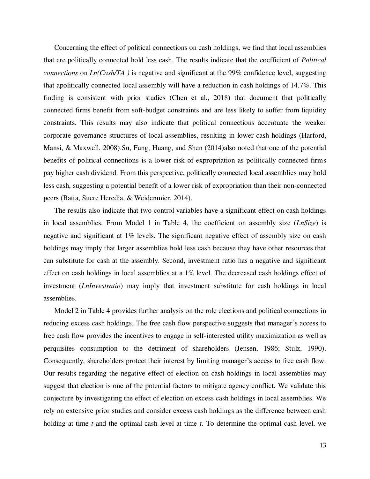Concerning the effect of political connections on cash holdings, we find that local assemblies that are politically connected hold less cash. The results indicate that the coefficient of *Political connections* on *Ln(Cash/TA )* is negative and significant at the 99% confidence level, suggesting that apolitically connected local assembly will have a reduction in cash holdings of 14.7%. This finding is consistent with prior studies (Chen et al., 2018) that document that politically connected firms benefit from soft-budget constraints and are less likely to suffer from liquidity constraints. This results may also indicate that political connections accentuate the weaker corporate governance structures of local assemblies, resulting in lower cash holdings (Harford, Mansi, & Maxwell, 2008).Su, Fung, Huang, and Shen (2014)also noted that one of the potential benefits of political connections is a lower risk of expropriation as politically connected firms pay higher cash dividend. From this perspective, politically connected local assemblies may hold less cash, suggesting a potential benefit of a lower risk of expropriation than their non-connected peers (Batta, Sucre Heredia, & Weidenmier, 2014).

The results also indicate that two control variables have a significant effect on cash holdings in local assemblies. From Model 1 in Table 4, the coefficient on assembly size (*LnSize*) is negative and significant at 1% levels. The significant negative effect of assembly size on cash holdings may imply that larger assemblies hold less cash because they have other resources that can substitute for cash at the assembly. Second, investment ratio has a negative and significant effect on cash holdings in local assemblies at a 1% level. The decreased cash holdings effect of investment (*LnInvestratio*) may imply that investment substitute for cash holdings in local assemblies.

Model 2 in Table 4 provides further analysis on the role elections and political connections in reducing excess cash holdings. The free cash flow perspective suggests that manager's access to free cash flow provides the incentives to engage in self-interested utility maximization as well as perquisites consumption to the detriment of shareholders (Jensen, 1986; Stulz, 1990). Consequently, shareholders protect their interest by limiting manager's access to free cash flow. Our results regarding the negative effect of election on cash holdings in local assemblies may suggest that election is one of the potential factors to mitigate agency conflict. We validate this conjecture by investigating the effect of election on excess cash holdings in local assemblies. We rely on extensive prior studies and consider excess cash holdings as the difference between cash holding at time *t* and the optimal cash level at time *t*. To determine the optimal cash level, we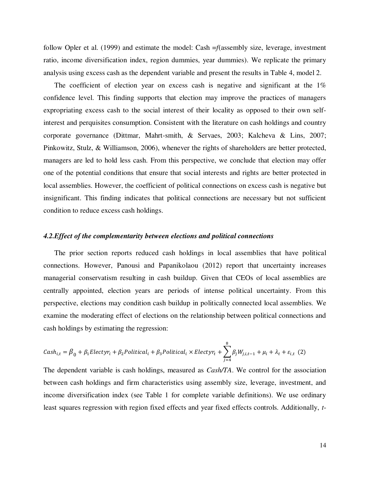follow Opler et al. (1999) and estimate the model: Cash =*f*(assembly size, leverage, investment ratio, income diversification index, region dummies, year dummies). We replicate the primary analysis using excess cash as the dependent variable and present the results in Table 4, model 2.

The coefficient of election year on excess cash is negative and significant at the  $1\%$ confidence level. This finding supports that election may improve the practices of managers expropriating excess cash to the social interest of their locality as opposed to their own selfinterest and perquisites consumption. Consistent with the literature on cash holdings and country corporate governance (Dittmar, Mahrt-smith, & Servaes, 2003; Kalcheva & Lins, 2007; Pinkowitz, Stulz, & Williamson, 2006), whenever the rights of shareholders are better protected, managers are led to hold less cash. From this perspective, we conclude that election may offer one of the potential conditions that ensure that social interests and rights are better protected in local assemblies. However, the coefficient of political connections on excess cash is negative but insignificant. This finding indicates that political connections are necessary but not sufficient condition to reduce excess cash holdings.

# *4.2.Effect of the complementarity between elections and political connections*

The prior section reports reduced cash holdings in local assemblies that have political connections. However, Panousi and Papanikolaou (2012) report that uncertainty increases managerial conservatism resulting in cash buildup. Given that CEOs of local assemblies are centrally appointed, election years are periods of intense political uncertainty. From this perspective, elections may condition cash buildup in politically connected local assemblies. We examine the moderating effect of elections on the relationship between political connections and cash holdings by estimating the regression:

$$
Cash_{i,t} = \beta_0 + \beta_1 Electyr_i + \beta_2 Political_i + \beta_3 Political_i \times Electyr_t + \sum_{j=4}^{8} \beta_j W_{j,i,t-1} + \mu_i + \lambda_t + \varepsilon_{i,t} \tag{2}
$$

The dependent variable is cash holdings, measured as *Cash/TA*. We control for the association between cash holdings and firm characteristics using assembly size, leverage, investment, and income diversification index (see Table 1 for complete variable definitions). We use ordinary least squares regression with region fixed effects and year fixed effects controls. Additionally, *t*-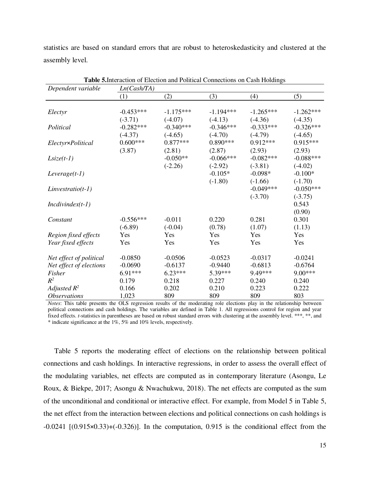statistics are based on standard errors that are robust to heteroskedasticity and clustered at the assembly level.

| Dependent variable         | Ln(Cash/TA) |             |             |             |             |
|----------------------------|-------------|-------------|-------------|-------------|-------------|
|                            | (1)         | (2)         | (3)         | (4)         | (5)         |
|                            |             |             |             |             |             |
| Electyr                    | $-0.453***$ | $-1.175***$ | $-1.194***$ | $-1.265***$ | $-1.262***$ |
|                            | $(-3.71)$   | $(-4.07)$   | $(-4.13)$   | $(-4.36)$   | $(-4.35)$   |
| Political                  | $-0.282***$ | $-0.340***$ | $-0.346***$ | $-0.333***$ | $-0.326***$ |
|                            | $(-4.37)$   | $(-4.65)$   | $(-4.70)$   | $(-4.79)$   | $(-4.65)$   |
| Electyr×Political          | $0.600***$  | $0.877***$  | $0.890***$  | $0.912***$  | $0.915***$  |
|                            | (3.87)      | (2.81)      | (2.87)      | (2.93)      | (2.93)      |
| $Lsize(t-1)$               |             | $-0.050**$  | $-0.066***$ | $-0.082***$ | $-0.088***$ |
|                            |             | $(-2.26)$   | $(-2.92)$   | $(-3.81)$   | $(-4.02)$   |
| $Leverage(t-1)$            |             |             | $-0.105*$   | $-0.098*$   | $-0.100*$   |
|                            |             |             | $(-1.80)$   | $(-1.66)$   | $(-1.70)$   |
| $Linvestratio(t-1)$        |             |             |             | $-0.049***$ | $-0.050***$ |
|                            |             |             |             | $(-3.70)$   | $(-3.75)$   |
| $Incdivindex(t-1)$         |             |             |             |             | 0.543       |
|                            |             |             |             |             | (0.90)      |
| Constant                   | $-0.556***$ | $-0.011$    | 0.220       | 0.281       | 0.301       |
|                            | $(-6.89)$   | $(-0.04)$   | (0.78)      | (1.07)      | (1.13)      |
| Region fixed effects       | Yes         | Yes         | Yes         | Yes         | Yes         |
| Year fixed effects         | Yes         | Yes         | Yes         | Yes         | Yes         |
| Net effect of political    | $-0.0850$   | $-0.0506$   | $-0.0523$   | $-0.0317$   | $-0.0241$   |
| Net effect of elections    | $-0.0690$   | $-0.6137$   | $-0.9440$   | $-0.6813$   | $-0.6764$   |
| Fisher                     | 6.91***     | $6.23***$   | 5.39***     | 9.49***     | 9.00***     |
| $R^2$                      | 0.179       | 0.218       | 0.227       | 0.240       | 0.240       |
| Adjusted $R^2$             | 0.166       | 0.202       | 0.210       | 0.223       | 0.222       |
| <i><b>Observations</b></i> | 1,023       | 809         | 809         | 809         | 803         |

**Table 5.**Interaction of Election and Political Connections on Cash Holdings

*Notes*: This table presents the OLS regression results of the moderating role elections play in the relationship between political connections and cash holdings. The variables are defined in Table 1. All regressions control for region and year fixed effects. *t*-statistics in parentheses are based on robust standard errors with clustering at the assembly level. \*\*\*, \*\*, and \* indicate significance at the 1%, 5% and 10% levels, respectively.

Table 5 reports the moderating effect of elections on the relationship between political connections and cash holdings. In interactive regressions, in order to assess the overall effect of the modulating variables, net effects are computed as in contemporary literature (Asongu, Le Roux, & Biekpe, 2017; Asongu & Nwachukwu, 2018). The net effects are computed as the sum of the unconditional and conditional or interactive effect. For example, from Model 5 in Table 5, the net effect from the interaction between elections and political connections on cash holdings is  $-0.0241$  [ $(0.915 \times 0.33)$ + $(-0.326)$ ]. In the computation, 0.915 is the conditional effect from the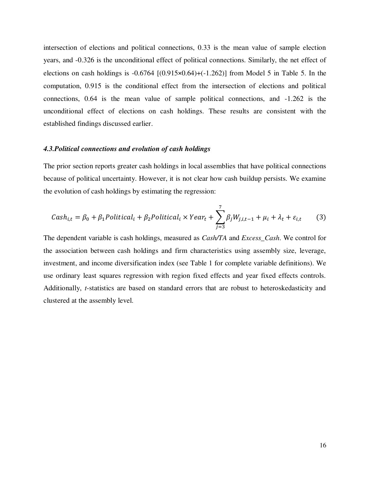intersection of elections and political connections, 0.33 is the mean value of sample election years, and -0.326 is the unconditional effect of political connections. Similarly, the net effect of elections on cash holdings is  $-0.6764$   $[(0.915 \times 0.64) + (-1.262)]$  from Model 5 in Table 5. In the computation, 0.915 is the conditional effect from the intersection of elections and political connections, 0.64 is the mean value of sample political connections, and -1.262 is the unconditional effect of elections on cash holdings. These results are consistent with the established findings discussed earlier.

## *4.3.Political connections and evolution of cash holdings*

The prior section reports greater cash holdings in local assemblies that have political connections because of political uncertainty. However, it is not clear how cash buildup persists. We examine the evolution of cash holdings by estimating the regression:

$$
Cash_{i,t} = \beta_0 + \beta_1 \text{Political}_i + \beta_2 \text{Political}_i \times \text{Year}_t + \sum_{j=3}^{7} \beta_j W_{j,i,t-1} + \mu_i + \lambda_t + \varepsilon_{i,t} \tag{3}
$$

The dependent variable is cash holdings, measured as *Cash/TA* and *Excess\_Cash*. We control for the association between cash holdings and firm characteristics using assembly size, leverage, investment, and income diversification index (see Table 1 for complete variable definitions). We use ordinary least squares regression with region fixed effects and year fixed effects controls. Additionally, *t*-statistics are based on standard errors that are robust to heteroskedasticity and clustered at the assembly level.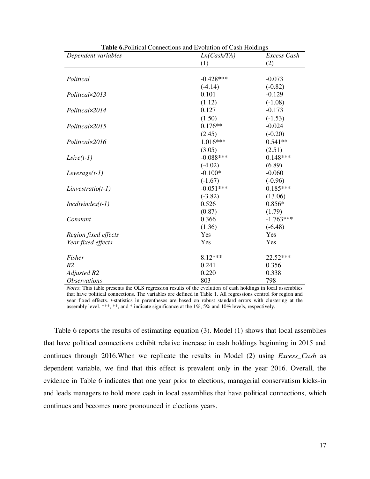| Dependent variables        | Ln(Cash/TA) | Excess Cash |
|----------------------------|-------------|-------------|
|                            | (1)         | (2)         |
|                            |             |             |
| Political                  | $-0.428***$ | $-0.073$    |
|                            | $(-4.14)$   | $(-0.82)$   |
| Political×2013             | 0.101       | $-0.129$    |
|                            | (1.12)      | $(-1.08)$   |
| Political×2014             | 0.127       | $-0.173$    |
|                            | (1.50)      | $(-1.53)$   |
| Political×2015             | $0.176**$   | $-0.024$    |
|                            | (2.45)      | $(-0.20)$   |
| Political×2016             | $1.016***$  | $0.541**$   |
|                            | (3.05)      | (2.51)      |
| $Lsize(t-1)$               | $-0.088***$ | $0.148***$  |
|                            | $(-4.02)$   | (6.89)      |
| $Leverage(t-1)$            | $-0.100*$   | $-0.060$    |
|                            | $(-1.67)$   | $(-0.96)$   |
| $Linvestratio(t-1)$        | $-0.051***$ | $0.185***$  |
|                            | $(-3.82)$   | (13.06)     |
| $Incdivindex(t-1)$         | 0.526       | $0.856*$    |
|                            | (0.87)      | (1.79)      |
| Constant                   | 0.366       | $-1.763***$ |
|                            | (1.36)      | $(-6.48)$   |
| Region fixed effects       | Yes         | Yes         |
| Year fixed effects         | Yes         | Yes         |
| Fisher                     | 8.12***     | 22.52***    |
| R <sub>2</sub>             | 0.241       | 0.356       |
| Adjusted R2                | 0.220       | 0.338       |
| <i><b>Observations</b></i> | 803         | 798         |

**Table 6.**Political Connections and Evolution of Cash Holdings

*Notes*: This table presents the OLS regression results of the evolution of cash holdings in local assemblies that have political connections. The variables are defined in Table 1. All regressions control for region and year fixed effects. *t*-statistics in parentheses are based on robust standard errors with clustering at the assembly level. \*\*\*, \*\*, and \* indicate significance at the 1%, 5% and 10% levels, respectively.

Table 6 reports the results of estimating equation (3). Model (1) shows that local assemblies that have political connections exhibit relative increase in cash holdings beginning in 2015 and continues through 2016.When we replicate the results in Model (2) using *Excess\_Cash* as dependent variable, we find that this effect is prevalent only in the year 2016. Overall, the evidence in Table 6 indicates that one year prior to elections, managerial conservatism kicks-in and leads managers to hold more cash in local assemblies that have political connections, which continues and becomes more pronounced in elections years.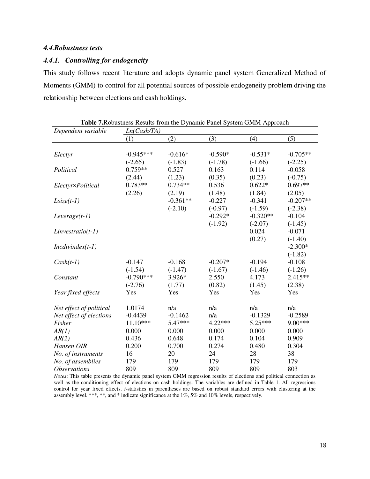# *4.4.Robustness tests*

# *4.4.1. Controlling for endogeneity*

This study follows recent literature and adopts dynamic panel system Generalized Method of Moments (GMM) to control for all potential sources of possible endogeneity problem driving the relationship between elections and cash holdings.

| Table 7. Robustness Results from the Dynamic Panel System GMM Approach |             |            |           |            |            |
|------------------------------------------------------------------------|-------------|------------|-----------|------------|------------|
| Dependent variable                                                     | Ln(Cash/TA) |            |           |            |            |
|                                                                        | (1)         | (2)        | (3)       | (4)        | (5)        |
|                                                                        |             |            |           |            |            |
| Electyr                                                                | $-0.945***$ | $-0.616*$  | $-0.590*$ | $-0.531*$  | $-0.705**$ |
|                                                                        | $(-2.65)$   | $(-1.83)$  | $(-1.78)$ | $(-1.66)$  | $(-2.25)$  |
| Political                                                              | $0.759**$   | 0.527      | 0.163     | 0.114      | $-0.058$   |
|                                                                        | (2.44)      | (1.23)     | (0.35)    | (0.23)     | $(-0.75)$  |
| Electyr×Political                                                      | $0.783**$   | $0.734**$  | 0.536     | $0.622*$   | $0.697**$  |
|                                                                        | (2.26)      | (2.19)     | (1.48)    | (1.84)     | (2.05)     |
| $Lsize(t-1)$                                                           |             | $-0.361**$ | $-0.227$  | $-0.341$   | $-0.207**$ |
|                                                                        |             | $(-2.10)$  | $(-0.97)$ | $(-1.59)$  | $(-2.38)$  |
| $Leverage(t-1)$                                                        |             |            | $-0.292*$ | $-0.320**$ | $-0.104$   |
|                                                                        |             |            | $(-1.92)$ | $(-2.07)$  | $(-1.45)$  |
| $Linvestratio(t-1)$                                                    |             |            |           | 0.024      | $-0.071$   |
|                                                                        |             |            |           | (0.27)     | $(-1.40)$  |
| $Incdivindex(t-1)$                                                     |             |            |           |            | $-2.300*$  |
|                                                                        |             |            |           |            | $(-1.82)$  |
| $Cash(t-1)$                                                            | $-0.147$    | $-0.168$   | $-0.207*$ | $-0.194$   | $-0.108$   |
|                                                                        | $(-1.54)$   | $(-1.47)$  | $(-1.67)$ | $(-1.46)$  | $(-1.26)$  |
| Constant                                                               | $-0.790***$ | 3.926*     | 2.550     | 4.173      | 2.415**    |
|                                                                        | $(-2.76)$   | (1.77)     | (0.82)    | (1.45)     | (2.38)     |
| Year fixed effects                                                     | Yes         | Yes        | Yes       | Yes        | Yes        |
|                                                                        |             |            |           |            |            |
| Net effect of political                                                | 1.0174      | n/a        | n/a       | n/a        | n/a        |
| Net effect of elections                                                | $-0.4439$   | $-0.1462$  | n/a       | $-0.1329$  | $-0.2589$  |
| Fisher                                                                 | 11.10***    | 5.47***    | 4.22***   | 5.25***    | 9.00***    |
| AR(1)                                                                  | 0.000       | 0.000      | 0.000     | 0.000      | 0.000      |
| AR(2)                                                                  | 0.436       | 0.648      | 0.174     | 0.104      | 0.909      |
| Hansen OIR                                                             | 0.200       | 0.700      | 0.274     | 0.480      | 0.304      |
| No. of instruments                                                     | 16          | 20         | 24        | 28         | 38         |
| No. of assemblies                                                      | 179         | 179        | 179       | 179        | 179        |
| <b>Observations</b>                                                    | 809         | 809        | 809       | 809        | 803        |

*Notes*: This table presents the dynamic panel system GMM regression results of elections and political connection as well as the conditioning effect of elections on cash holdings. The variables are defined in Table 1. All regressions control for year fixed effects. *t*-statistics in parentheses are based on robust standard errors with clustering at the assembly level. \*\*\*, \*\*, and \* indicate significance at the 1%, 5% and 10% levels, respectively.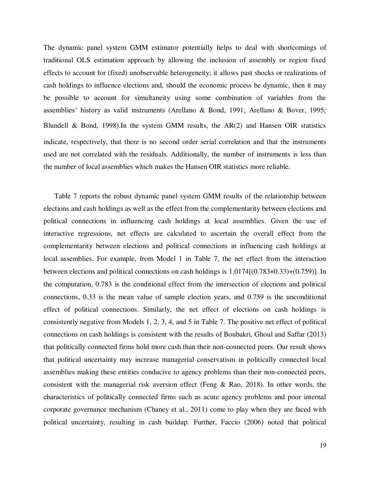The dynamic panel system GMM estimator potentially helps to deal with shortcomings of traditional OLS estimation approach by allowing the inclusion of assembly or region fixed effects to account for (fixed) unobservable heterogeneity; it allows past shocks or realizations of cash holdings to influence elections and, should the economic process be dynamic, then it may be possible to account for simultaneity using some combination of variables from the assemblies' history as valid instruments (Arellano & Bond, 1991; Arellano & Bover, 1995; Blundell & Bond, 1998).In the system GMM results, the AR(2) and Hansen OIR statistics indicate, respectively, that there is no second order serial correlation and that the instruments used are not correlated with the residuals. Additionally, the number of instruments is less than the number of local assemblies which makes the Hansen OIR statistics more reliable.

Table 7 reports the robust dynamic panel system GMM results of the relationship between elections and cash holdings as well as the effect from the complementarity between elections and political connections in influencing cash holdings at local assemblies. Given the use of interactive regressions, net effects are calculated to ascertain the overall effect from the complementarity between elections and political connections in influencing cash holdings at local assemblies. For example, from Model 1 in Table 7, the net effect from the interaction between elections and political connections on cash holdings is 1.0174[(0.783×0.33)+(0.759)]. In the computation, 0.783 is the conditional effect from the intersection of elections and political connections, 0.33 is the mean value of sample election years, and 0.759 is the unconditional effect of political connections. Similarly, the net effect of elections on cash holdings is consistently negative from Models 1, 2, 3, 4, and 5 in Table 7. The positive net effect of political connections on cash holdings is consistent with the results of Boubakri, Ghoul and Saffar (2013) that politically connected firms hold more cash than their non-connected peers. Our result shows that political uncertainty may increase managerial conservatism in politically connected local assemblies making these entities conducive to agency problems than their non-connected peers, consistent with the managerial risk aversion effect (Feng & Rao, 2018). In other words, the characteristics of politically connected firms such as acute agency problems and poor internal corporate governance mechanism (Chaney et al., 2011) come to play when they are faced with political uncertainty, resulting in cash buildup. Further, Faccio (2006) noted that political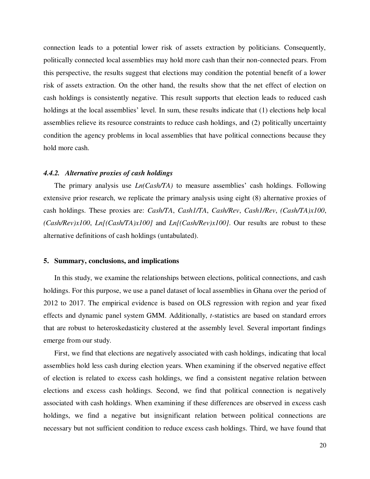connection leads to a potential lower risk of assets extraction by politicians. Consequently, politically connected local assemblies may hold more cash than their non-connected pears. From this perspective, the results suggest that elections may condition the potential benefit of a lower risk of assets extraction. On the other hand, the results show that the net effect of election on cash holdings is consistently negative. This result supports that election leads to reduced cash holdings at the local assemblies' level. In sum, these results indicate that (1) elections help local assemblies relieve its resource constraints to reduce cash holdings, and (2) politically uncertainty condition the agency problems in local assemblies that have political connections because they hold more cash.

# *4.4.2. Alternative proxies of cash holdings*

The primary analysis use *Ln(Cash/TA)* to measure assemblies' cash holdings. Following extensive prior research, we replicate the primary analysis using eight (8) alternative proxies of cash holdings. These proxies are: *Cash/TA*, *Cash1/TA*, *Cash/Rev*, *Cash1/Rev*, *(Cash/TA)x100*, *(Cash/Rev)x100*, *Ln[(Cash/TA)x100]* and *Ln[(Cash/Rev)x100]*. Our results are robust to these alternative definitions of cash holdings (untabulated).

# **5. Summary, conclusions, and implications**

In this study, we examine the relationships between elections, political connections, and cash holdings. For this purpose, we use a panel dataset of local assemblies in Ghana over the period of 2012 to 2017. The empirical evidence is based on OLS regression with region and year fixed effects and dynamic panel system GMM. Additionally, *t*-statistics are based on standard errors that are robust to heteroskedasticity clustered at the assembly level. Several important findings emerge from our study.

First, we find that elections are negatively associated with cash holdings, indicating that local assemblies hold less cash during election years. When examining if the observed negative effect of election is related to excess cash holdings, we find a consistent negative relation between elections and excess cash holdings. Second, we find that political connection is negatively associated with cash holdings. When examining if these differences are observed in excess cash holdings, we find a negative but insignificant relation between political connections are necessary but not sufficient condition to reduce excess cash holdings. Third, we have found that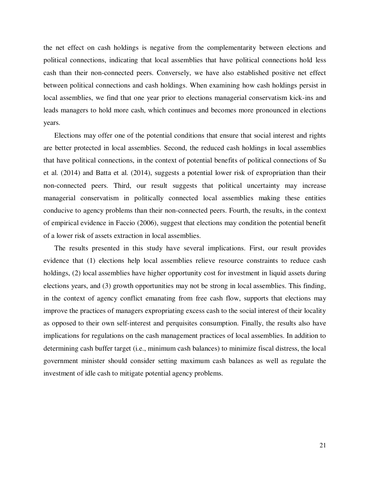the net effect on cash holdings is negative from the complementarity between elections and political connections, indicating that local assemblies that have political connections hold less cash than their non-connected peers. Conversely, we have also established positive net effect between political connections and cash holdings. When examining how cash holdings persist in local assemblies, we find that one year prior to elections managerial conservatism kick-ins and leads managers to hold more cash, which continues and becomes more pronounced in elections years.

Elections may offer one of the potential conditions that ensure that social interest and rights are better protected in local assemblies. Second, the reduced cash holdings in local assemblies that have political connections, in the context of potential benefits of political connections of Su et al. (2014) and Batta et al. (2014), suggests a potential lower risk of expropriation than their non-connected peers. Third, our result suggests that political uncertainty may increase managerial conservatism in politically connected local assemblies making these entities conducive to agency problems than their non-connected peers. Fourth, the results, in the context of empirical evidence in Faccio (2006), suggest that elections may condition the potential benefit of a lower risk of assets extraction in local assemblies.

The results presented in this study have several implications. First, our result provides evidence that (1) elections help local assemblies relieve resource constraints to reduce cash holdings, (2) local assemblies have higher opportunity cost for investment in liquid assets during elections years, and (3) growth opportunities may not be strong in local assemblies. This finding, in the context of agency conflict emanating from free cash flow, supports that elections may improve the practices of managers expropriating excess cash to the social interest of their locality as opposed to their own self-interest and perquisites consumption. Finally, the results also have implications for regulations on the cash management practices of local assemblies. In addition to determining cash buffer target (i.e., minimum cash balances) to minimize fiscal distress, the local government minister should consider setting maximum cash balances as well as regulate the investment of idle cash to mitigate potential agency problems.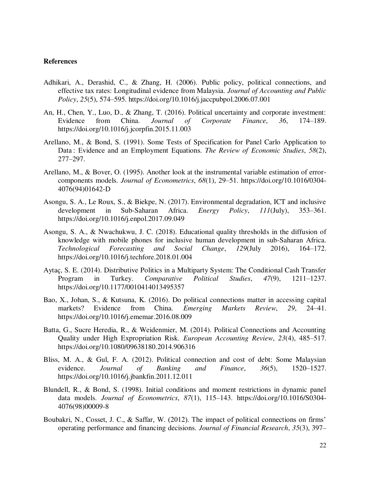# **References**

- Adhikari, A., Derashid, C., & Zhang, H. (2006). Public policy, political connections, and effective tax rates: Longitudinal evidence from Malaysia. *Journal of Accounting and Public Policy*, *25*(5), 574–595. https://doi.org/10.1016/j.jaccpubpol.2006.07.001
- An, H., Chen, Y., Luo, D., & Zhang, T. (2016). Political uncertainty and corporate investment: Evidence from China. *Journal of Corporate Finance*, *36*, 174–189. https://doi.org/10.1016/j.jcorpfin.2015.11.003
- Arellano, M., & Bond, S. (1991). Some Tests of Specification for Panel Carlo Application to Data : Evidence and an Employment Equations. *The Review of Economic Studies*, *58*(2), 277–297.
- Arellano, M., & Bover, O. (1995). Another look at the instrumental variable estimation of errorcomponents models. *Journal of Econometrics*, *68*(1), 29–51. https://doi.org/10.1016/0304- 4076(94)01642-D
- Asongu, S. A., Le Roux, S., & Biekpe, N. (2017). Environmental degradation, ICT and inclusive development in Sub-Saharan Africa. *Energy Policy*, *111*(July), 353–361. https://doi.org/10.1016/j.enpol.2017.09.049
- Asongu, S. A., & Nwachukwu, J. C. (2018). Educational quality thresholds in the diffusion of knowledge with mobile phones for inclusive human development in sub-Saharan Africa. *Technological Forecasting and Social Change*, *129*(July 2016), 164–172. https://doi.org/10.1016/j.techfore.2018.01.004
- Aytaç, S. E. (2014). Distributive Politics in a Multiparty System: The Conditional Cash Transfer Program in Turkey. *Comparative Political Studies*, *47*(9), 1211–1237. https://doi.org/10.1177/0010414013495357
- Bao, X., Johan, S., & Kutsuna, K. (2016). Do political connections matter in accessing capital markets? Evidence from China. *Emerging Markets Review*, *29*, 24–41. https://doi.org/10.1016/j.ememar.2016.08.009
- Batta, G., Sucre Heredia, R., & Weidenmier, M. (2014). Political Connections and Accounting Quality under High Expropriation Risk. *European Accounting Review*, *23*(4), 485–517. https://doi.org/10.1080/09638180.2014.906316
- Bliss, M. A., & Gul, F. A. (2012). Political connection and cost of debt: Some Malaysian evidence. *Journal of Banking and Finance*, *36*(5), 1520–1527. https://doi.org/10.1016/j.jbankfin.2011.12.011
- Blundell, R., & Bond, S. (1998). Initial conditions and moment restrictions in dynamic panel data models. *Journal of Econometrics*, *87*(1), 115–143. https://doi.org/10.1016/S0304- 4076(98)00009-8
- Boubakri, N., Cosset, J. C., & Saffar, W. (2012). The impact of political connections on firms' operating performance and financing decisions. *Journal of Financial Research*, *35*(3), 397–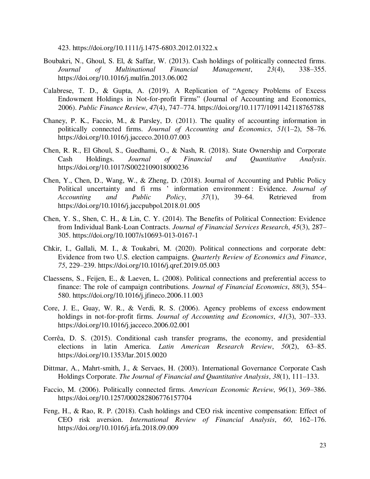423. https://doi.org/10.1111/j.1475-6803.2012.01322.x

- Boubakri, N., Ghoul, S. El, & Saffar, W. (2013). Cash holdings of politically connected firms. *Journal of Multinational Financial Management*, *23*(4), 338–355. https://doi.org/10.1016/j.mulfin.2013.06.002
- Calabrese, T. D., & Gupta, A. (2019). A Replication of "Agency Problems of Excess Endowment Holdings in Not-for-profit Firms" (Journal of Accounting and Economics, 2006). *Public Finance Review*, *47*(4), 747–774. https://doi.org/10.1177/1091142118765788
- Chaney, P. K., Faccio, M., & Parsley, D. (2011). The quality of accounting information in politically connected firms. *Journal of Accounting and Economics*, *51*(1–2), 58–76. https://doi.org/10.1016/j.jacceco.2010.07.003
- Chen, R. R., El Ghoul, S., Guedhami, O., & Nash, R. (2018). State Ownership and Corporate Cash Holdings. *Journal of Financial and Quantitative Analysis*. https://doi.org/10.1017/S0022109018000236
- Chen, Y., Chen, D., Wang, W., & Zheng, D. (2018). Journal of Accounting and Public Policy Political uncertainty and fi rms ' information environment : Evidence. *Journal of Accounting and Public Policy*, *37*(1), 39–64. Retrieved from https://doi.org/10.1016/j.jaccpubpol.2018.01.005
- Chen, Y. S., Shen, C. H., & Lin, C. Y. (2014). The Benefits of Political Connection: Evidence from Individual Bank-Loan Contracts. *Journal of Financial Services Research*, *45*(3), 287– 305. https://doi.org/10.1007/s10693-013-0167-1
- Chkir, I., Gallali, M. I., & Toukabri, M. (2020). Political connections and corporate debt: Evidence from two U.S. election campaigns. *Quarterly Review of Economics and Finance*, *75*, 229–239. https://doi.org/10.1016/j.qref.2019.05.003
- Claessens, S., Feijen, E., & Laeven, L. (2008). Political connections and preferential access to finance: The role of campaign contributions. *Journal of Financial Economics*, *88*(3), 554– 580. https://doi.org/10.1016/j.jfineco.2006.11.003
- Core, J. E., Guay, W. R., & Verdi, R. S. (2006). Agency problems of excess endowment holdings in not-for-profit firms. *Journal of Accounting and Economics*, *41*(3), 307–333. https://doi.org/10.1016/j.jacceco.2006.02.001
- Corrêa, D. S. (2015). Conditional cash transfer programs, the economy, and presidential elections in latin America. *Latin American Research Review*, *50*(2), 63–85. https://doi.org/10.1353/lar.2015.0020
- Dittmar, A., Mahrt-smith, J., & Servaes, H. (2003). International Governance Corporate Cash Holdings Corporate. *The Journal of Financial and Quantitative Analysis*, *38*(1), 111–133.
- Faccio, M. (2006). Politically connected firms. *American Economic Review*, *96*(1), 369–386. https://doi.org/10.1257/000282806776157704
- Feng, H., & Rao, R. P. (2018). Cash holdings and CEO risk incentive compensation: Effect of CEO risk aversion. *International Review of Financial Analysis*, *60*, 162–176. https://doi.org/10.1016/j.irfa.2018.09.009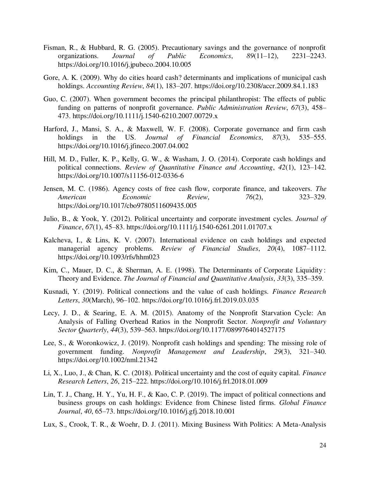- Fisman, R., & Hubbard, R. G. (2005). Precautionary savings and the governance of nonprofit organizations. *Journal of Public Economics*, *89*(11–12), 2231–2243. https://doi.org/10.1016/j.jpubeco.2004.10.005
- Gore, A. K. (2009). Why do cities hoard cash? determinants and implications of municipal cash holdings. *Accounting Review*, *84*(1), 183–207. https://doi.org/10.2308/accr.2009.84.1.183
- Guo, C. (2007). When government becomes the principal philanthropist: The effects of public funding on patterns of nonprofit governance. *Public Administration Review*, *67*(3), 458– 473. https://doi.org/10.1111/j.1540-6210.2007.00729.x
- Harford, J., Mansi, S. A., & Maxwell, W. F. (2008). Corporate governance and firm cash holdings in the US. *Journal of Financial Economics*, *87*(3), 535–555. https://doi.org/10.1016/j.jfineco.2007.04.002
- Hill, M. D., Fuller, K. P., Kelly, G. W., & Washam, J. O. (2014). Corporate cash holdings and political connections. *Review of Quantitative Finance and Accounting*, *42*(1), 123–142. https://doi.org/10.1007/s11156-012-0336-6
- Jensen, M. C. (1986). Agency costs of free cash flow, corporate finance, and takeovers. *The American Economic Review*, *76*(2), 323–329. https://doi.org/10.1017/cbo9780511609435.005
- Julio, B., & Yook, Y. (2012). Political uncertainty and corporate investment cycles. *Journal of Finance*, *67*(1), 45–83. https://doi.org/10.1111/j.1540-6261.2011.01707.x
- Kalcheva, I., & Lins, K. V. (2007). International evidence on cash holdings and expected managerial agency problems. *Review of Financial Studies*, *20*(4), 1087–1112. https://doi.org/10.1093/rfs/hhm023
- Kim, C., Mauer, D. C., & Sherman, A. E. (1998). The Determinants of Corporate Liquidity : Theory and Evidence. *The Journal of Financial and Quantitative Analysis*, *33*(3), 335–359.
- Kusnadi, Y. (2019). Political connections and the value of cash holdings. *Finance Research Letters*, *30*(March), 96–102. https://doi.org/10.1016/j.frl.2019.03.035
- Lecy, J. D., & Searing, E. A. M. (2015). Anatomy of the Nonprofit Starvation Cycle: An Analysis of Falling Overhead Ratios in the Nonprofit Sector. *Nonprofit and Voluntary Sector Quarterly*, *44*(3), 539–563. https://doi.org/10.1177/0899764014527175
- Lee, S., & Woronkowicz, J. (2019). Nonprofit cash holdings and spending: The missing role of government funding. *Nonprofit Management and Leadership*, *29*(3), 321–340. https://doi.org/10.1002/nml.21342
- Li, X., Luo, J., & Chan, K. C. (2018). Political uncertainty and the cost of equity capital. *Finance Research Letters*, *26*, 215–222. https://doi.org/10.1016/j.frl.2018.01.009
- Lin, T. J., Chang, H. Y., Yu, H. F., & Kao, C. P. (2019). The impact of political connections and business groups on cash holdings: Evidence from Chinese listed firms. *Global Finance Journal*, *40*, 65–73. https://doi.org/10.1016/j.gfj.2018.10.001
- Lux, S., Crook, T. R., & Woehr, D. J. (2011). Mixing Business With Politics: A Meta-Analysis